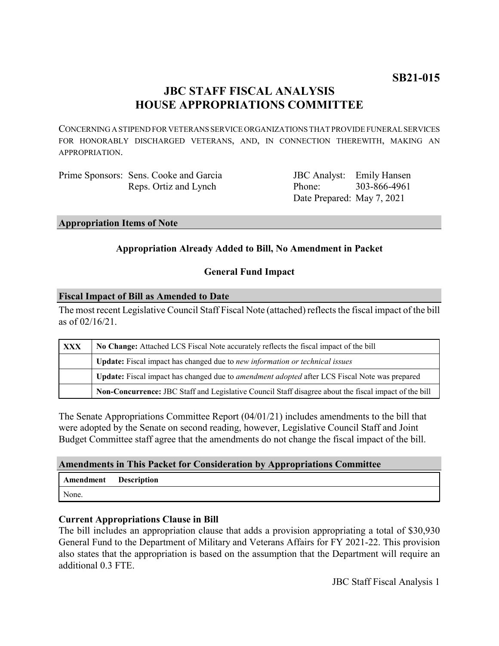# **JBC STAFF FISCAL ANALYSIS HOUSE APPROPRIATIONS COMMITTEE**

CONCERNING A STIPEND FOR VETERANS SERVICE ORGANIZATIONS THAT PROVIDE FUNERAL SERVICES FOR HONORABLY DISCHARGED VETERANS, AND, IN CONNECTION THEREWITH, MAKING AN APPROPRIATION.

Prime Sponsors: Sens. Cooke and Garcia Reps. Ortiz and Lynch

JBC Analyst: Emily Hansen Phone: Date Prepared: May 7, 2021 303-866-4961

## **Appropriation Items of Note**

# **Appropriation Already Added to Bill, No Amendment in Packet**

# **General Fund Impact**

#### **Fiscal Impact of Bill as Amended to Date**

The most recent Legislative Council Staff Fiscal Note (attached) reflects the fiscal impact of the bill as of 02/16/21.

| XXX | No Change: Attached LCS Fiscal Note accurately reflects the fiscal impact of the bill                       |
|-----|-------------------------------------------------------------------------------------------------------------|
|     | Update: Fiscal impact has changed due to new information or technical issues                                |
|     | <b>Update:</b> Fiscal impact has changed due to <i>amendment adopted</i> after LCS Fiscal Note was prepared |
|     | Non-Concurrence: JBC Staff and Legislative Council Staff disagree about the fiscal impact of the bill       |

The Senate Appropriations Committee Report (04/01/21) includes amendments to the bill that were adopted by the Senate on second reading, however, Legislative Council Staff and Joint Budget Committee staff agree that the amendments do not change the fiscal impact of the bill.

## **Amendments in This Packet for Consideration by Appropriations Committee**

| Amendment | <b>Description</b> |
|-----------|--------------------|
| None.     |                    |

## **Current Appropriations Clause in Bill**

The bill includes an appropriation clause that adds a provision appropriating a total of \$30,930 General Fund to the Department of Military and Veterans Affairs for FY 2021-22. This provision also states that the appropriation is based on the assumption that the Department will require an additional 0.3 FTE.